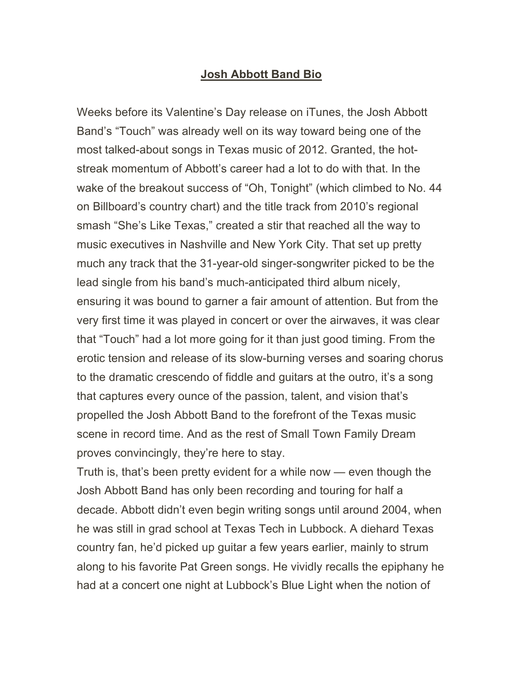## **Josh Abbott Band Bio**

Weeks before its Valentine's Day release on iTunes, the Josh Abbott Band's "Touch" was already well on its way toward being one of the most talked-about songs in Texas music of 2012. Granted, the hotstreak momentum of Abbott's career had a lot to do with that. In the wake of the breakout success of "Oh, Tonight" (which climbed to No. 44 on Billboard's country chart) and the title track from 2010's regional smash "She's Like Texas," created a stir that reached all the way to music executives in Nashville and New York City. That set up pretty much any track that the 31-year-old singer-songwriter picked to be the lead single from his band's much-anticipated third album nicely, ensuring it was bound to garner a fair amount of attention. But from the very first time it was played in concert or over the airwaves, it was clear that "Touch" had a lot more going for it than just good timing. From the erotic tension and release of its slow-burning verses and soaring chorus to the dramatic crescendo of fiddle and guitars at the outro, it's a song that captures every ounce of the passion, talent, and vision that's propelled the Josh Abbott Band to the forefront of the Texas music scene in record time. And as the rest of Small Town Family Dream proves convincingly, they're here to stay.

Truth is, that's been pretty evident for a while now — even though the Josh Abbott Band has only been recording and touring for half a decade. Abbott didn't even begin writing songs until around 2004, when he was still in grad school at Texas Tech in Lubbock. A diehard Texas country fan, he'd picked up guitar a few years earlier, mainly to strum along to his favorite Pat Green songs. He vividly recalls the epiphany he had at a concert one night at Lubbock's Blue Light when the notion of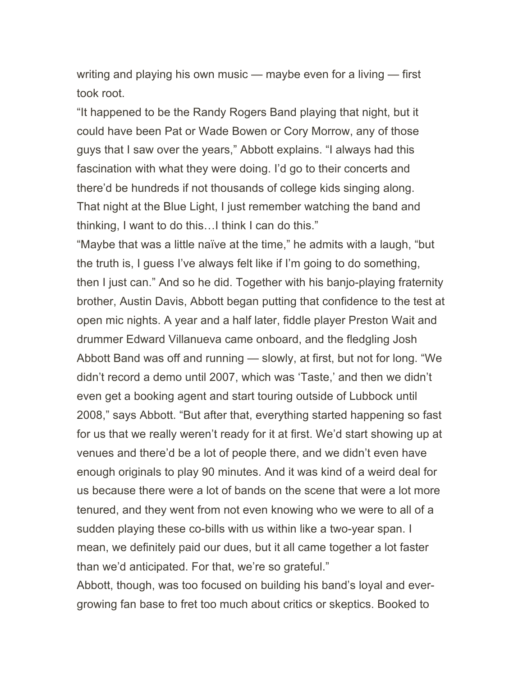writing and playing his own music — maybe even for a living — first took root.

"It happened to be the Randy Rogers Band playing that night, but it could have been Pat or Wade Bowen or Cory Morrow, any of those guys that I saw over the years," Abbott explains. "I always had this fascination with what they were doing. I'd go to their concerts and there'd be hundreds if not thousands of college kids singing along. That night at the Blue Light, I just remember watching the band and thinking, I want to do this…I think I can do this."

"Maybe that was a little naïve at the time," he admits with a laugh, "but the truth is, I guess I've always felt like if I'm going to do something, then I just can." And so he did. Together with his banjo-playing fraternity brother, Austin Davis, Abbott began putting that confidence to the test at open mic nights. A year and a half later, fiddle player Preston Wait and drummer Edward Villanueva came onboard, and the fledgling Josh Abbott Band was off and running — slowly, at first, but not for long. "We didn't record a demo until 2007, which was 'Taste,' and then we didn't even get a booking agent and start touring outside of Lubbock until 2008," says Abbott. "But after that, everything started happening so fast for us that we really weren't ready for it at first. We'd start showing up at venues and there'd be a lot of people there, and we didn't even have enough originals to play 90 minutes. And it was kind of a weird deal for us because there were a lot of bands on the scene that were a lot more tenured, and they went from not even knowing who we were to all of a sudden playing these co-bills with us within like a two-year span. I mean, we definitely paid our dues, but it all came together a lot faster than we'd anticipated. For that, we're so grateful."

Abbott, though, was too focused on building his band's loyal and evergrowing fan base to fret too much about critics or skeptics. Booked to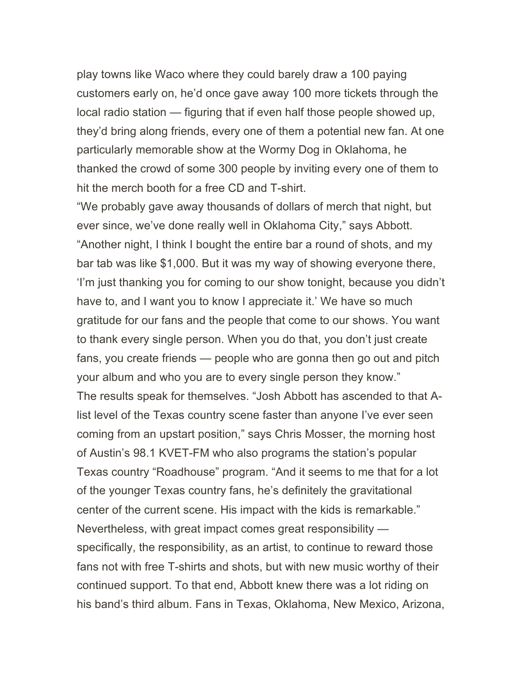play towns like Waco where they could barely draw a 100 paying customers early on, he'd once gave away 100 more tickets through the local radio station — figuring that if even half those people showed up, they'd bring along friends, every one of them a potential new fan. At one particularly memorable show at the Wormy Dog in Oklahoma, he thanked the crowd of some 300 people by inviting every one of them to hit the merch booth for a free CD and T-shirt.

"We probably gave away thousands of dollars of merch that night, but ever since, we've done really well in Oklahoma City," says Abbott. "Another night, I think I bought the entire bar a round of shots, and my bar tab was like \$1,000. But it was my way of showing everyone there, 'I'm just thanking you for coming to our show tonight, because you didn't have to, and I want you to know I appreciate it.' We have so much gratitude for our fans and the people that come to our shows. You want to thank every single person. When you do that, you don't just create fans, you create friends — people who are gonna then go out and pitch your album and who you are to every single person they know." The results speak for themselves. "Josh Abbott has ascended to that Alist level of the Texas country scene faster than anyone I've ever seen coming from an upstart position," says Chris Mosser, the morning host of Austin's 98.1 KVET-FM who also programs the station's popular Texas country "Roadhouse" program. "And it seems to me that for a lot of the younger Texas country fans, he's definitely the gravitational center of the current scene. His impact with the kids is remarkable." Nevertheless, with great impact comes great responsibility specifically, the responsibility, as an artist, to continue to reward those fans not with free T-shirts and shots, but with new music worthy of their continued support. To that end, Abbott knew there was a lot riding on his band's third album. Fans in Texas, Oklahoma, New Mexico, Arizona,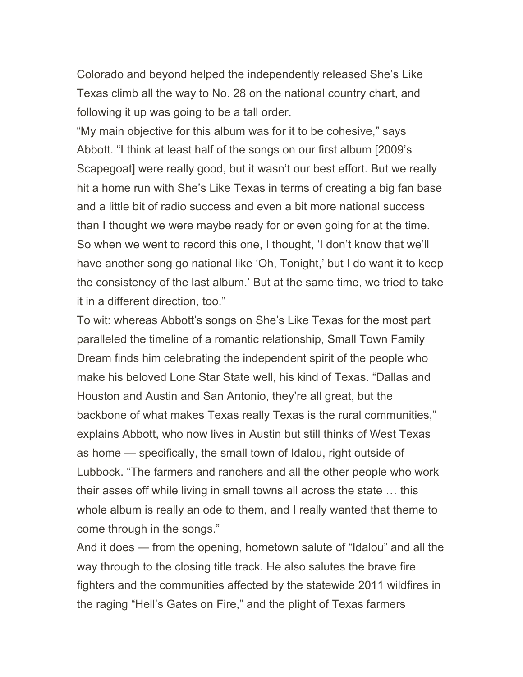Colorado and beyond helped the independently released She's Like Texas climb all the way to No. 28 on the national country chart, and following it up was going to be a tall order.

"My main objective for this album was for it to be cohesive," says Abbott. "I think at least half of the songs on our first album [2009's Scapegoat] were really good, but it wasn't our best effort. But we really hit a home run with She's Like Texas in terms of creating a big fan base and a little bit of radio success and even a bit more national success than I thought we were maybe ready for or even going for at the time. So when we went to record this one, I thought, 'I don't know that we'll have another song go national like 'Oh, Tonight,' but I do want it to keep the consistency of the last album.' But at the same time, we tried to take it in a different direction, too."

To wit: whereas Abbott's songs on She's Like Texas for the most part paralleled the timeline of a romantic relationship, Small Town Family Dream finds him celebrating the independent spirit of the people who make his beloved Lone Star State well, his kind of Texas. "Dallas and Houston and Austin and San Antonio, they're all great, but the backbone of what makes Texas really Texas is the rural communities," explains Abbott, who now lives in Austin but still thinks of West Texas as home — specifically, the small town of Idalou, right outside of Lubbock. "The farmers and ranchers and all the other people who work their asses off while living in small towns all across the state … this whole album is really an ode to them, and I really wanted that theme to come through in the songs."

And it does — from the opening, hometown salute of "Idalou" and all the way through to the closing title track. He also salutes the brave fire fighters and the communities affected by the statewide 2011 wildfires in the raging "Hell's Gates on Fire," and the plight of Texas farmers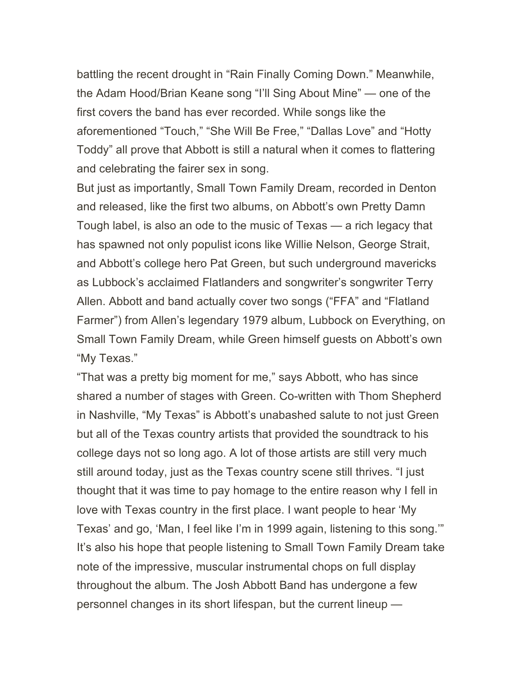battling the recent drought in "Rain Finally Coming Down." Meanwhile, the Adam Hood/Brian Keane song "I'll Sing About Mine" — one of the first covers the band has ever recorded. While songs like the aforementioned "Touch," "She Will Be Free," "Dallas Love" and "Hotty Toddy" all prove that Abbott is still a natural when it comes to flattering and celebrating the fairer sex in song.

But just as importantly, Small Town Family Dream, recorded in Denton and released, like the first two albums, on Abbott's own Pretty Damn Tough label, is also an ode to the music of Texas — a rich legacy that has spawned not only populist icons like Willie Nelson, George Strait, and Abbott's college hero Pat Green, but such underground mavericks as Lubbock's acclaimed Flatlanders and songwriter's songwriter Terry Allen. Abbott and band actually cover two songs ("FFA" and "Flatland Farmer") from Allen's legendary 1979 album, Lubbock on Everything, on Small Town Family Dream, while Green himself guests on Abbott's own "My Texas."

"That was a pretty big moment for me," says Abbott, who has since shared a number of stages with Green. Co-written with Thom Shepherd in Nashville, "My Texas" is Abbott's unabashed salute to not just Green but all of the Texas country artists that provided the soundtrack to his college days not so long ago. A lot of those artists are still very much still around today, just as the Texas country scene still thrives. "I just thought that it was time to pay homage to the entire reason why I fell in love with Texas country in the first place. I want people to hear 'My Texas' and go, 'Man, I feel like I'm in 1999 again, listening to this song.'" It's also his hope that people listening to Small Town Family Dream take note of the impressive, muscular instrumental chops on full display throughout the album. The Josh Abbott Band has undergone a few personnel changes in its short lifespan, but the current lineup —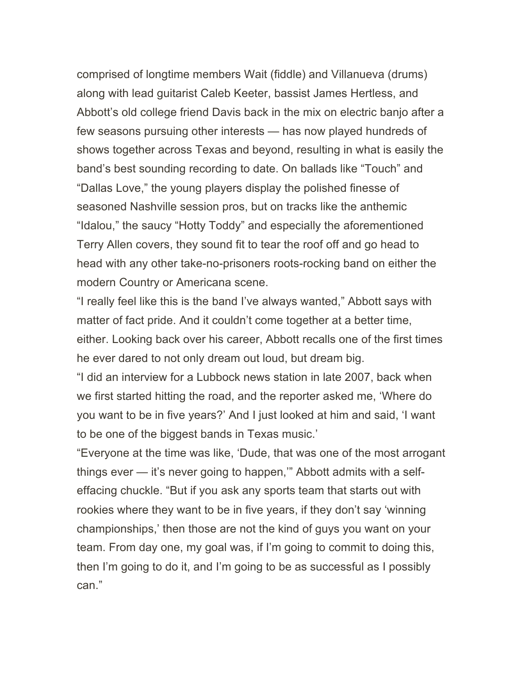comprised of longtime members Wait (fiddle) and Villanueva (drums) along with lead guitarist Caleb Keeter, bassist James Hertless, and Abbott's old college friend Davis back in the mix on electric banjo after a few seasons pursuing other interests — has now played hundreds of shows together across Texas and beyond, resulting in what is easily the band's best sounding recording to date. On ballads like "Touch" and "Dallas Love," the young players display the polished finesse of seasoned Nashville session pros, but on tracks like the anthemic "Idalou," the saucy "Hotty Toddy" and especially the aforementioned Terry Allen covers, they sound fit to tear the roof off and go head to head with any other take-no-prisoners roots-rocking band on either the modern Country or Americana scene.

"I really feel like this is the band I've always wanted," Abbott says with matter of fact pride. And it couldn't come together at a better time, either. Looking back over his career, Abbott recalls one of the first times he ever dared to not only dream out loud, but dream big.

"I did an interview for a Lubbock news station in late 2007, back when we first started hitting the road, and the reporter asked me, 'Where do you want to be in five years?' And I just looked at him and said, 'I want to be one of the biggest bands in Texas music.'

"Everyone at the time was like, 'Dude, that was one of the most arrogant things ever — it's never going to happen,'" Abbott admits with a selfeffacing chuckle. "But if you ask any sports team that starts out with rookies where they want to be in five years, if they don't say 'winning championships,' then those are not the kind of guys you want on your team. From day one, my goal was, if I'm going to commit to doing this, then I'm going to do it, and I'm going to be as successful as I possibly can."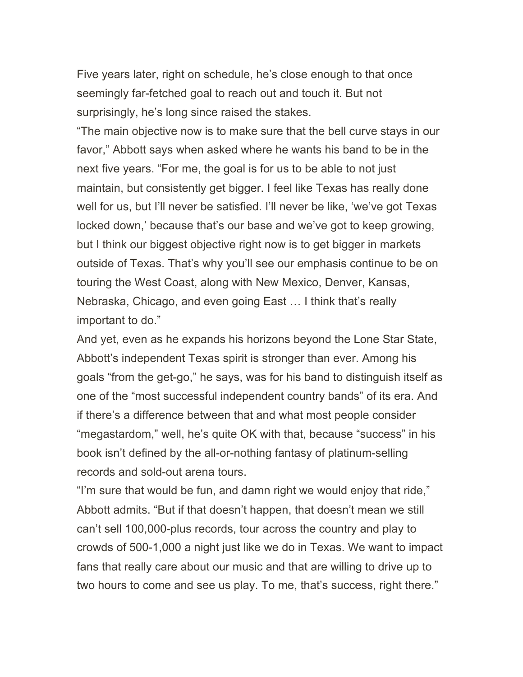Five years later, right on schedule, he's close enough to that once seemingly far-fetched goal to reach out and touch it. But not surprisingly, he's long since raised the stakes.

"The main objective now is to make sure that the bell curve stays in our favor," Abbott says when asked where he wants his band to be in the next five years. "For me, the goal is for us to be able to not just maintain, but consistently get bigger. I feel like Texas has really done well for us, but I'll never be satisfied. I'll never be like, 'we've got Texas locked down,' because that's our base and we've got to keep growing, but I think our biggest objective right now is to get bigger in markets outside of Texas. That's why you'll see our emphasis continue to be on touring the West Coast, along with New Mexico, Denver, Kansas, Nebraska, Chicago, and even going East … I think that's really important to do."

And yet, even as he expands his horizons beyond the Lone Star State, Abbott's independent Texas spirit is stronger than ever. Among his goals "from the get-go," he says, was for his band to distinguish itself as one of the "most successful independent country bands" of its era. And if there's a difference between that and what most people consider "megastardom," well, he's quite OK with that, because "success" in his book isn't defined by the all-or-nothing fantasy of platinum-selling records and sold-out arena tours.

"I'm sure that would be fun, and damn right we would enjoy that ride," Abbott admits. "But if that doesn't happen, that doesn't mean we still can't sell 100,000-plus records, tour across the country and play to crowds of 500-1,000 a night just like we do in Texas. We want to impact fans that really care about our music and that are willing to drive up to two hours to come and see us play. To me, that's success, right there."